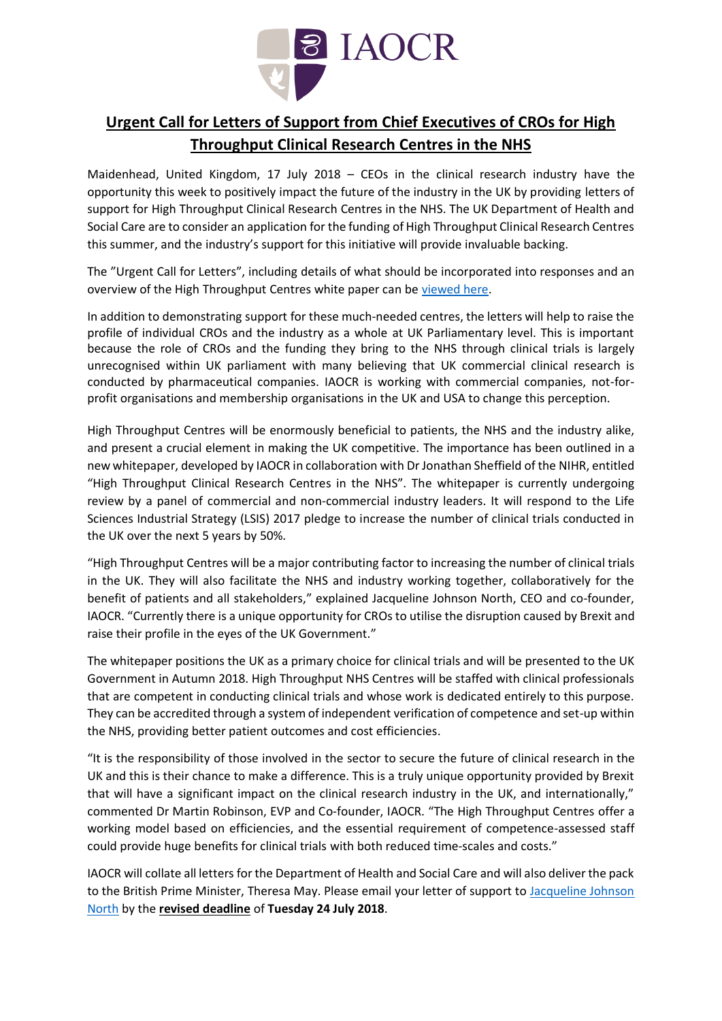

# **Urgent Call for Letters of Support from Chief Executives of CROs for High Throughput Clinical Research Centres in the NHS**

Maidenhead, United Kingdom, 17 July 2018 – CEOs in the clinical research industry have the opportunity this week to positively impact the future of the industry in the UK by providing letters of support for High Throughput Clinical Research Centres in the NHS. The UK Department of Health and Social Care are to consider an application for the funding of High Throughput Clinical Research Centres this summer, and the industry's support for this initiative will provide invaluable backing.

The "Urgent Call for Letters", including details of what should be incorporated into responses and an overview of the High Throughput Centres white paper can be [viewed here.](http://iaocr.com/call-letters-support-chief-executives-cros-high-throughput-clinical-research-centres-nhs/)

In addition to demonstrating support for these much-needed centres, the letters will help to raise the profile of individual CROs and the industry as a whole at UK Parliamentary level. This is important because the role of CROs and the funding they bring to the NHS through clinical trials is largely unrecognised within UK parliament with many believing that UK commercial clinical research is conducted by pharmaceutical companies. IAOCR is working with commercial companies, not-forprofit organisations and membership organisations in the UK and USA to change this perception.

High Throughput Centres will be enormously beneficial to patients, the NHS and the industry alike, and present a crucial element in making the UK competitive. The importance has been outlined in a new whitepaper, developed by IAOCR in collaboration with Dr Jonathan Sheffield of the NIHR, entitled "High Throughput Clinical Research Centres in the NHS". The whitepaper is currently undergoing review by a panel of commercial and non-commercial industry leaders. It will respond to the Life Sciences Industrial Strategy (LSIS) 2017 pledge to increase the number of clinical trials conducted in the UK over the next 5 years by 50%.

"High Throughput Centres will be a major contributing factor to increasing the number of clinical trials in the UK. They will also facilitate the NHS and industry working together, collaboratively for the benefit of patients and all stakeholders," explained Jacqueline Johnson North, CEO and co-founder, IAOCR. "Currently there is a unique opportunity for CROs to utilise the disruption caused by Brexit and raise their profile in the eyes of the UK Government."

The whitepaper positions the UK as a primary choice for clinical trials and will be presented to the UK Government in Autumn 2018. High Throughput NHS Centres will be staffed with clinical professionals that are competent in conducting clinical trials and whose work is dedicated entirely to this purpose. They can be accredited through a system of independent verification of competence and set-up within the NHS, providing better patient outcomes and cost efficiencies.

"It is the responsibility of those involved in the sector to secure the future of clinical research in the UK and this is their chance to make a difference. This is a truly unique opportunity provided by Brexit that will have a significant impact on the clinical research industry in the UK, and internationally," commented Dr Martin Robinson, EVP and Co-founder, IAOCR. "The High Throughput Centres offer a working model based on efficiencies, and the essential requirement of competence-assessed staff could provide huge benefits for clinical trials with both reduced time-scales and costs."

IAOCR will collate all letters for the Department of Health and Social Care and will also deliver the pack to the British Prime Minister, Theresa May. Please email your letter of support to [Jacqueline Johnson](mailto:jjnorth@iaocr.com?subject=Letter%20of%20support:%20High%20Throughput%20Centres)  [North](mailto:jjnorth@iaocr.com?subject=Letter%20of%20support:%20High%20Throughput%20Centres) by the **revised deadline** of **Tuesday 24 July 2018**.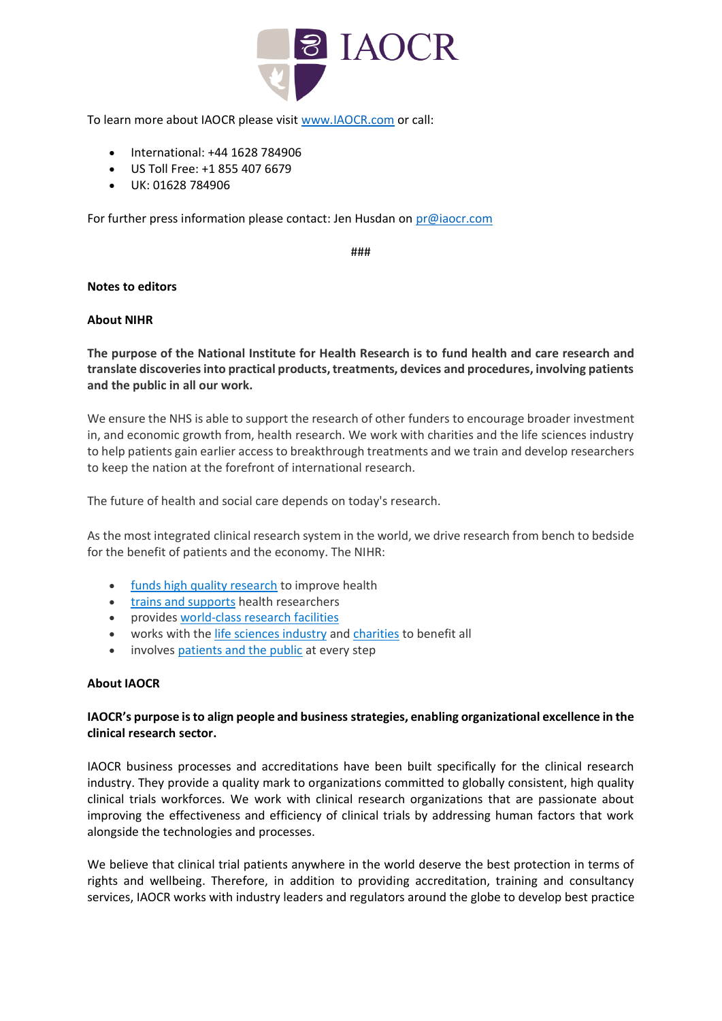

To learn more about IAOCR please visit [www.IAOCR.com](http://www.iaocr.com/) or call:

- International: +44 1628 784906
- US Toll Free: +1 855 407 6679
- UK: 01628 784906

For further press information please contact: Jen Husdan on [pr@iaocr.com](mailto:pr@iaocr.co.uk)

###

## **Notes to editors**

#### **About NIHR**

**The purpose of the National Institute for Health Research is to fund health and care research and translate discoveries into practical products, treatments, devices and procedures, involving patients and the public in all our work.**

We ensure the NHS is able to support the research of other funders to encourage broader investment in, and economic growth from, health research. We work with charities and the life sciences industry to help patients gain earlier access to breakthrough treatments and we train and develop researchers to keep the nation at the forefront of international research.

The future of health and social care depends on today's research.

As the most integrated clinical research system in the world, we drive research from bench to bedside for the benefit of patients and the economy. The NIHR:

- [funds high quality research](https://www.nihr.ac.uk/funding-and-support/) to improve health
- [trains and supports](https://www.nihr.ac.uk/funding-and-support/funding-for-training-and-career-development/) health researchers
- provides [world-class research facilities](https://www.nihr.ac.uk/funding-and-support/funding-to-support-research/)
- works with the *[life sciences industry](https://www.nihr.ac.uk/life-sciences-industry/)* and *[charities](https://www.nihr.ac.uk/partnering-with-us/) to benefit all*
- involves [patients and the public](https://www.nihr.ac.uk/patients-and-public/) at every step

### **About IAOCR**

## **IAOCR's purpose is to align people and business strategies, enabling organizational excellence in the clinical research sector.**

IAOCR business processes and accreditations have been built specifically for the clinical research industry. They provide a quality mark to organizations committed to globally consistent, high quality clinical trials workforces. We work with clinical research organizations that are passionate about improving the effectiveness and efficiency of clinical trials by addressing human factors that work alongside the technologies and processes.

We believe that clinical trial patients anywhere in the world deserve the best protection in terms of rights and wellbeing. Therefore, in addition to providing accreditation, training and consultancy services, IAOCR works with industry leaders and regulators around the globe to develop best practice